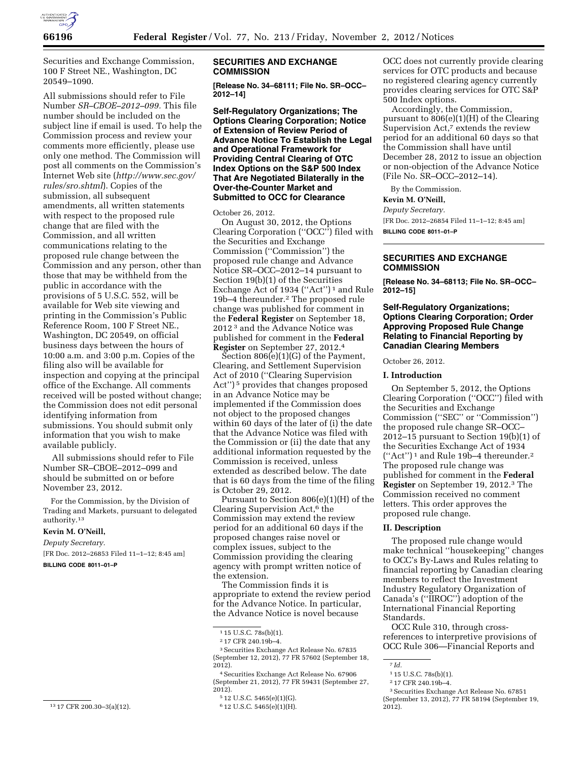

Securities and Exchange Commission, 100 F Street NE., Washington, DC 20549–1090.

All submissions should refer to File Number *SR–CBOE–2012–099.* This file number should be included on the subject line if email is used. To help the Commission process and review your comments more efficiently, please use only one method. The Commission will post all comments on the Commission's Internet Web site (*[http://www.sec.gov/](http://www.sec.gov/rules/sro.shtml)  [rules/sro.shtml](http://www.sec.gov/rules/sro.shtml)*). Copies of the submission, all subsequent amendments, all written statements with respect to the proposed rule change that are filed with the Commission, and all written communications relating to the proposed rule change between the Commission and any person, other than those that may be withheld from the public in accordance with the provisions of 5 U.S.C. 552, will be available for Web site viewing and printing in the Commission's Public Reference Room, 100 F Street NE., Washington, DC 20549, on official business days between the hours of 10:00 a.m. and 3:00 p.m. Copies of the filing also will be available for inspection and copying at the principal office of the Exchange. All comments received will be posted without change; the Commission does not edit personal identifying information from submissions. You should submit only information that you wish to make available publicly.

All submissions should refer to File Number SR–CBOE–2012–099 and should be submitted on or before November 23, 2012.

For the Commission, by the Division of Trading and Markets, pursuant to delegated authority.13

## **Kevin M. O'Neill,**

*Deputy Secretary.* 

[FR Doc. 2012–26853 Filed 11–1–12; 8:45 am] **BILLING CODE 8011–01–P** 

## **SECURITIES AND EXCHANGE COMMISSION**

**[Release No. 34–68111; File No. SR–OCC– 2012–14]** 

**Self-Regulatory Organizations; The Options Clearing Corporation; Notice of Extension of Review Period of Advance Notice To Establish the Legal and Operational Framework for Providing Central Clearing of OTC Index Options on the S&P 500 Index That Are Negotiated Bilaterally in the Over-the-Counter Market and Submitted to OCC for Clearance** 

October 26, 2012.

On August 30, 2012, the Options Clearing Corporation (''OCC'') filed with the Securities and Exchange Commission (''Commission'') the proposed rule change and Advance Notice SR–OCC–2012–14 pursuant to Section 19(b)(1) of the Securities Exchange Act of 1934 (''Act'') 1 and Rule 19b–4 thereunder.2 The proposed rule change was published for comment in the **Federal Register** on September 18, 2012 3 and the Advance Notice was published for comment in the **Federal Register** on September 27, 2012.4

Section 806(e)(1)(G) of the Payment, Clearing, and Settlement Supervision Act of 2010 (''Clearing Supervision Act'') 5 provides that changes proposed in an Advance Notice may be implemented if the Commission does not object to the proposed changes within 60 days of the later of (i) the date that the Advance Notice was filed with the Commission or (ii) the date that any additional information requested by the Commission is received, unless extended as described below. The date that is 60 days from the time of the filing is October 29, 2012.

Pursuant to Section 806(e)(1)(H) of the Clearing Supervision Act,<sup>6</sup> the Commission may extend the review period for an additional 60 days if the proposed changes raise novel or complex issues, subject to the Commission providing the clearing agency with prompt written notice of the extension.

The Commission finds it is appropriate to extend the review period for the Advance Notice. In particular, the Advance Notice is novel because

OCC does not currently provide clearing services for OTC products and because no registered clearing agency currently provides clearing services for OTC S&P 500 Index options.

Accordingly, the Commission, pursuant to 806(e)(1)(H) of the Clearing Supervision Act,<sup>7</sup> extends the review period for an additional 60 days so that the Commission shall have until December 28, 2012 to issue an objection or non-objection of the Advance Notice (File No. SR–OCC–2012–14).

By the Commission.

# **Kevin M. O'Neill,**

*Deputy Secretary.*  [FR Doc. 2012–26854 Filed 11–1–12; 8:45 am] **BILLING CODE 8011–01–P** 

# **SECURITIES AND EXCHANGE COMMISSION**

**[Release No. 34–68113; File No. SR–OCC– 2012–15]** 

# **Self-Regulatory Organizations; Options Clearing Corporation; Order Approving Proposed Rule Change Relating to Financial Reporting by Canadian Clearing Members**

October 26, 2012.

### **I. Introduction**

On September 5, 2012, the Options Clearing Corporation (''OCC'') filed with the Securities and Exchange Commission (''SEC'' or ''Commission'') the proposed rule change SR–OCC– 2012–15 pursuant to Section  $19(b)(1)$  of the Securities Exchange Act of 1934 (''Act'') 1 and Rule 19b–4 thereunder.2 The proposed rule change was published for comment in the **Federal Register** on September 19, 2012.3 The Commission received no comment letters. This order approves the proposed rule change.

### **II. Description**

The proposed rule change would make technical ''housekeeping'' changes to OCC's By-Laws and Rules relating to financial reporting by Canadian clearing members to reflect the Investment Industry Regulatory Organization of Canada's (''IIROC'') adoption of the International Financial Reporting Standards.

OCC Rule 310, through crossreferences to interpretive provisions of OCC Rule 306—Financial Reports and

<sup>1</sup> 15 U.S.C. 78s(b)(1).

<sup>2</sup> 17 CFR 240.19b–4.

 $^{\rm 3}\!\!$  Securities Exchange Act Release No. 67835 (September 12, 2012), 77 FR 57602 (September 18, 2012).

<sup>4</sup>Securities Exchange Act Release No. 67906 (September 21, 2012), 77 FR 59431 (September 27,  $2012$ ).

<sup>5</sup> 12 U.S.C. 5465(e)(1)(G).

<sup>6</sup> 12 U.S.C. 5465(e)(1)(H).

<sup>7</sup> *Id.* 

<sup>1</sup> 15 U.S.C. 78s(b)(1).

<sup>2</sup> 17 CFR 240.19b–4.

<sup>3</sup>Securities Exchange Act Release No. 67851 (September 13, 2012), 77 FR 58194 (September 19, 2012).